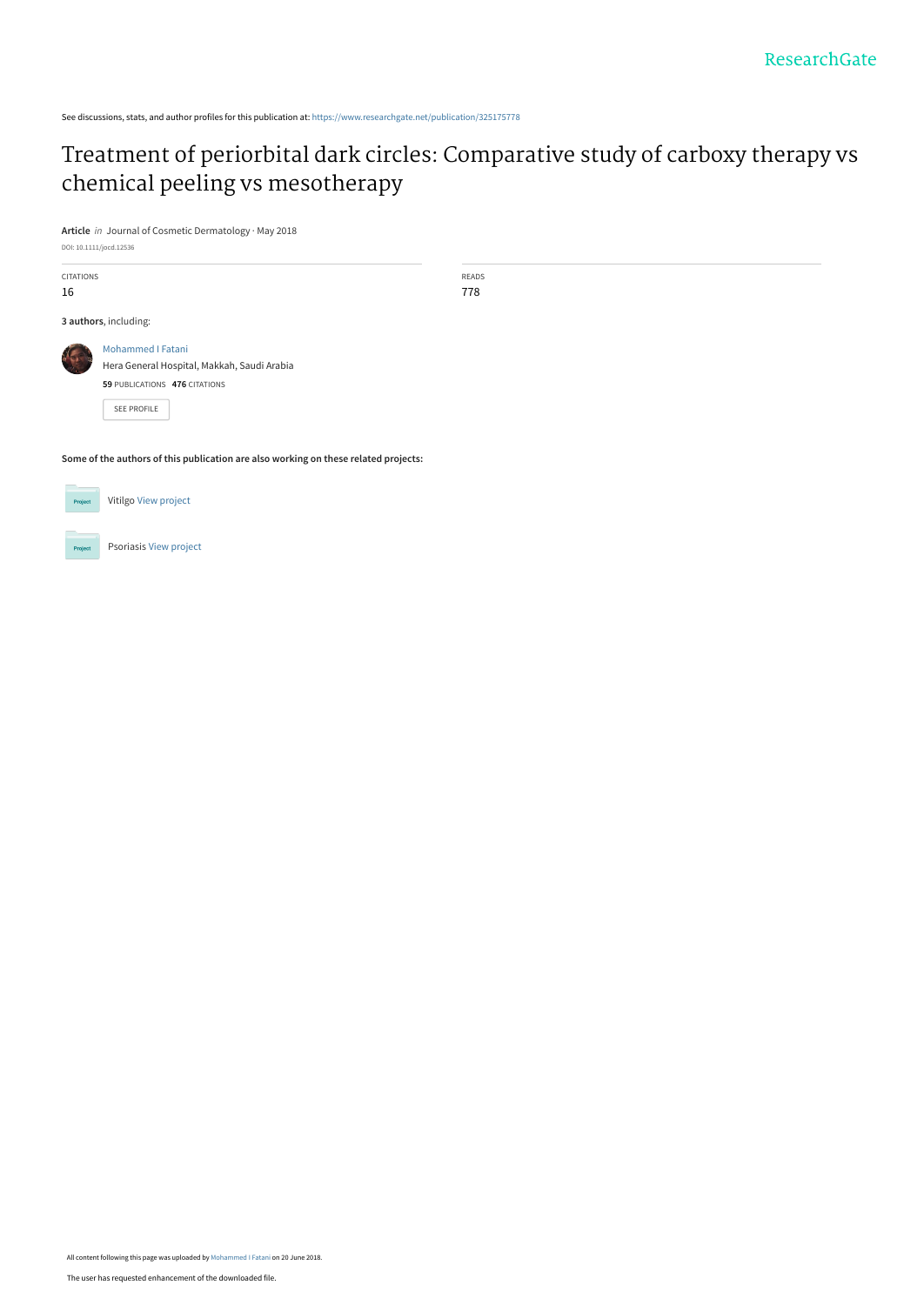See discussions, stats, and author profiles for this publication at: [https://www.researchgate.net/publication/325175778](https://www.researchgate.net/publication/325175778_Treatment_of_periorbital_dark_circles_Comparative_study_of_carboxy_therapy_vs_chemical_peeling_vs_mesotherapy?enrichId=rgreq-2fcadde0521d9c594a6da2a6e0041f22-XXX&enrichSource=Y292ZXJQYWdlOzMyNTE3NTc3ODtBUzo2Mzk2NTk1MDM3Nzk4NDBAMTUyOTUxODExODEwMg%3D%3D&el=1_x_2&_esc=publicationCoverPdf)

# [Treatment of periorbital dark circles: Comparative study of carboxy therapy vs](https://www.researchgate.net/publication/325175778_Treatment_of_periorbital_dark_circles_Comparative_study_of_carboxy_therapy_vs_chemical_peeling_vs_mesotherapy?enrichId=rgreq-2fcadde0521d9c594a6da2a6e0041f22-XXX&enrichSource=Y292ZXJQYWdlOzMyNTE3NTc3ODtBUzo2Mzk2NTk1MDM3Nzk4NDBAMTUyOTUxODExODEwMg%3D%3D&el=1_x_3&_esc=publicationCoverPdf) chemical peeling vs mesotherapy

**Article** in Journal of Cosmetic Dermatology · May 2018

DOI: 10.1111/jocd.12536

| <b>CITATIONS</b><br>16 |                                             | READS<br>778 |  |  |  |  |  |  |
|------------------------|---------------------------------------------|--------------|--|--|--|--|--|--|
|                        | 3 authors, including:                       |              |  |  |  |  |  |  |
|                        | Mohammed I Fatani                           |              |  |  |  |  |  |  |
|                        | Hera General Hospital, Makkah, Saudi Arabia |              |  |  |  |  |  |  |
|                        | 59 PUBLICATIONS 476 CITATIONS               |              |  |  |  |  |  |  |
|                        | SEE PROFILE                                 |              |  |  |  |  |  |  |
|                        |                                             |              |  |  |  |  |  |  |

**Some of the authors of this publication are also working on these related projects:**



**Project** 

Psoriasis [View project](https://www.researchgate.net/project/Psoriasis-20?enrichId=rgreq-2fcadde0521d9c594a6da2a6e0041f22-XXX&enrichSource=Y292ZXJQYWdlOzMyNTE3NTc3ODtBUzo2Mzk2NTk1MDM3Nzk4NDBAMTUyOTUxODExODEwMg%3D%3D&el=1_x_9&_esc=publicationCoverPdf)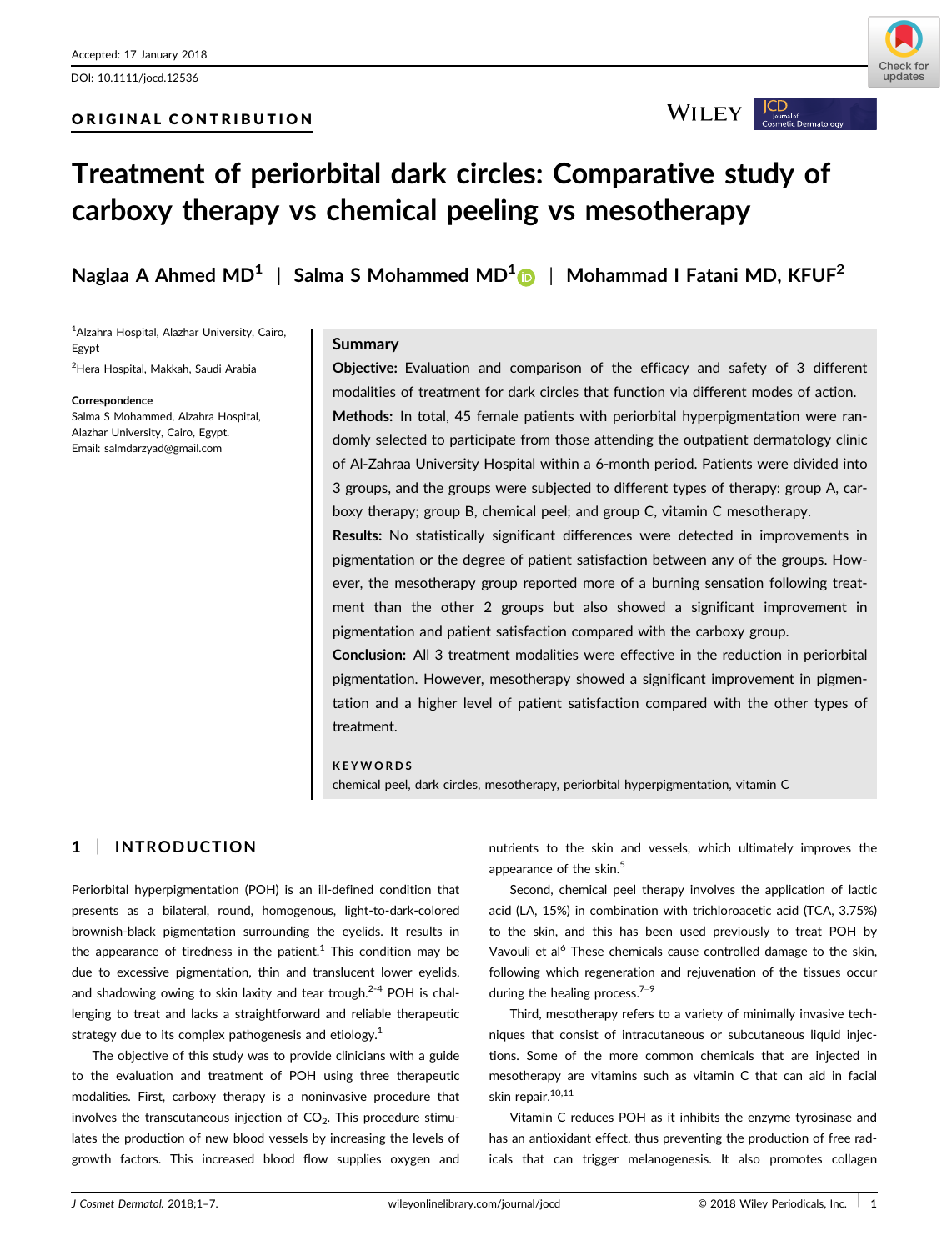DOI: 10.1111/jocd.12536

# ORIGINAL CONTRIBUTION



**WILEY** 

# Treatment of periorbital dark circles: Comparative study of carboxy therapy vs chemical peeling vs mesotherapy

Naglaa A Ahmed MD<sup>1</sup> | Salma S Mohammed MD<sup>1</sup> | Mohammad I Fatani MD, KFUF<sup>2</sup>

1 Alzahra Hospital, Alazhar University, Cairo, Egypt 2 Hera Hospital, Makkah, Saudi Arabia

**Correspondence** 

Salma S Mohammed, Alzahra Hospital, Alazhar University, Cairo, Egypt. Email: salmdarzyad@gmail.com

#### **Summary**

Objective: Evaluation and comparison of the efficacy and safety of 3 different modalities of treatment for dark circles that function via different modes of action. Methods: In total, 45 female patients with periorbital hyperpigmentation were randomly selected to participate from those attending the outpatient dermatology clinic of Al-Zahraa University Hospital within a 6-month period. Patients were divided into 3 groups, and the groups were subjected to different types of therapy: group A, carboxy therapy; group B, chemical peel; and group C, vitamin C mesotherapy. Results: No statistically significant differences were detected in improvements in

pigmentation or the degree of patient satisfaction between any of the groups. However, the mesotherapy group reported more of a burning sensation following treatment than the other 2 groups but also showed a significant improvement in pigmentation and patient satisfaction compared with the carboxy group.

Conclusion: All 3 treatment modalities were effective in the reduction in periorbital pigmentation. However, mesotherapy showed a significant improvement in pigmentation and a higher level of patient satisfaction compared with the other types of treatment.

#### **KEYWORDS**

chemical peel, dark circles, mesotherapy, periorbital hyperpigmentation, vitamin C

# 1 | INTRODUCTION

Periorbital hyperpigmentation (POH) is an ill-defined condition that presents as a bilateral, round, homogenous, light-to-dark-colored brownish-black pigmentation surrounding the eyelids. It results in the appearance of tiredness in the patient.<sup>1</sup> This condition may be due to excessive pigmentation, thin and translucent lower eyelids, and shadowing owing to skin laxity and tear trough.<sup>2-4</sup> POH is challenging to treat and lacks a straightforward and reliable therapeutic strategy due to its complex pathogenesis and etiology.<sup>1</sup>

The objective of this study was to provide clinicians with a guide to the evaluation and treatment of POH using three therapeutic modalities. First, carboxy therapy is a noninvasive procedure that involves the transcutaneous injection of  $CO<sub>2</sub>$ . This procedure stimulates the production of new blood vessels by increasing the levels of growth factors. This increased blood flow supplies oxygen and

nutrients to the skin and vessels, which ultimately improves the appearance of the skin.<sup>5</sup>

Second, chemical peel therapy involves the application of lactic acid (LA, 15%) in combination with trichloroacetic acid (TCA, 3.75%) to the skin, and this has been used previously to treat POH by Vavouli et al<sup>6</sup> These chemicals cause controlled damage to the skin, following which regeneration and rejuvenation of the tissues occur during the healing process. $7-9$ 

Third, mesotherapy refers to a variety of minimally invasive techniques that consist of intracutaneous or subcutaneous liquid injections. Some of the more common chemicals that are injected in mesotherapy are vitamins such as vitamin C that can aid in facial skin repair.<sup>10,11</sup>

Vitamin C reduces POH as it inhibits the enzyme tyrosinase and has an antioxidant effect, thus preventing the production of free radicals that can trigger melanogenesis. It also promotes collagen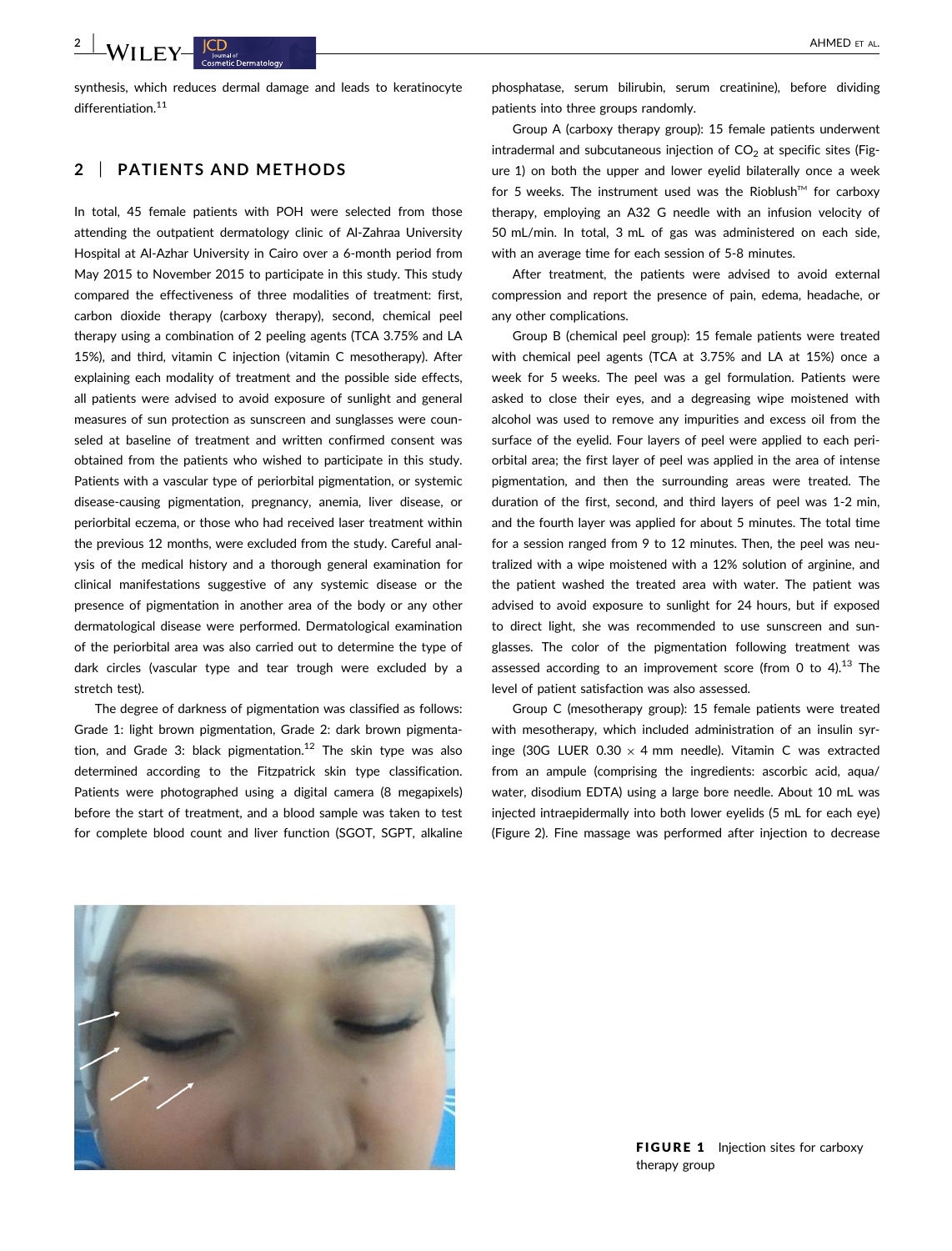# $-WII$  ,  $\mathbf{F}$   $\mathbf{Y}$  and  $\mathbf{F}$  are all  $\mathbf{F}$  and  $\mathbf{F}$  are all  $\mathbf{F}$  and  $\mathbf{F}$  are  $\mathbf{F}$  and  $\mathbf{F}$  are  $\mathbf{F}$  and  $\mathbf{F}$  are  $\mathbf{F}$  and  $\mathbf{F}$  are  $\mathbf{F}$  and  $\mathbf{F}$  are  $\mathbf{F}$  and  $\$

synthesis, which reduces dermal damage and leads to keratinocyte differentiation.<sup>11</sup>

### 2 | PATIENTS AND METHODS

In total, 45 female patients with POH were selected from those attending the outpatient dermatology clinic of Al-Zahraa University Hospital at Al-Azhar University in Cairo over a 6-month period from May 2015 to November 2015 to participate in this study. This study compared the effectiveness of three modalities of treatment: first, carbon dioxide therapy (carboxy therapy), second, chemical peel therapy using a combination of 2 peeling agents (TCA 3.75% and LA 15%), and third, vitamin C injection (vitamin C mesotherapy). After explaining each modality of treatment and the possible side effects, all patients were advised to avoid exposure of sunlight and general measures of sun protection as sunscreen and sunglasses were counseled at baseline of treatment and written confirmed consent was obtained from the patients who wished to participate in this study. Patients with a vascular type of periorbital pigmentation, or systemic disease-causing pigmentation, pregnancy, anemia, liver disease, or periorbital eczema, or those who had received laser treatment within the previous 12 months, were excluded from the study. Careful analysis of the medical history and a thorough general examination for clinical manifestations suggestive of any systemic disease or the presence of pigmentation in another area of the body or any other dermatological disease were performed. Dermatological examination of the periorbital area was also carried out to determine the type of dark circles (vascular type and tear trough were excluded by a stretch test).

The degree of darkness of pigmentation was classified as follows: Grade 1: light brown pigmentation, Grade 2: dark brown pigmentation, and Grade 3: black pigmentation.<sup>12</sup> The skin type was also determined according to the Fitzpatrick skin type classification. Patients were photographed using a digital camera (8 megapixels) before the start of treatment, and a blood sample was taken to test for complete blood count and liver function (SGOT, SGPT, alkaline

phosphatase, serum bilirubin, serum creatinine), before dividing patients into three groups randomly.

Group A (carboxy therapy group): 15 female patients underwent intradermal and subcutaneous injection of  $CO<sub>2</sub>$  at specific sites (Figure 1) on both the upper and lower eyelid bilaterally once a week for 5 weeks. The instrument used was the Rioblush™ for carboxy therapy, employing an A32 G needle with an infusion velocity of 50 mL/min. In total, 3 mL of gas was administered on each side, with an average time for each session of 5-8 minutes.

After treatment, the patients were advised to avoid external compression and report the presence of pain, edema, headache, or any other complications.

Group B (chemical peel group): 15 female patients were treated with chemical peel agents (TCA at 3.75% and LA at 15%) once a week for 5 weeks. The peel was a gel formulation. Patients were asked to close their eyes, and a degreasing wipe moistened with alcohol was used to remove any impurities and excess oil from the surface of the eyelid. Four layers of peel were applied to each periorbital area; the first layer of peel was applied in the area of intense pigmentation, and then the surrounding areas were treated. The duration of the first, second, and third layers of peel was 1-2 min, and the fourth layer was applied for about 5 minutes. The total time for a session ranged from 9 to 12 minutes. Then, the peel was neutralized with a wipe moistened with a 12% solution of arginine, and the patient washed the treated area with water. The patient was advised to avoid exposure to sunlight for 24 hours, but if exposed to direct light, she was recommended to use sunscreen and sunglasses. The color of the pigmentation following treatment was assessed according to an improvement score (from 0 to  $4$ ).<sup>13</sup> The level of patient satisfaction was also assessed.

Group C (mesotherapy group): 15 female patients were treated with mesotherapy, which included administration of an insulin syringe (30G LUER  $0.30 \times 4$  mm needle). Vitamin C was extracted from an ampule (comprising the ingredients: ascorbic acid, aqua/ water, disodium EDTA) using a large bore needle. About 10 mL was injected intraepidermally into both lower eyelids (5 mL for each eye) (Figure 2). Fine massage was performed after injection to decrease



FIGURE 1 Injection sites for carboxy therapy group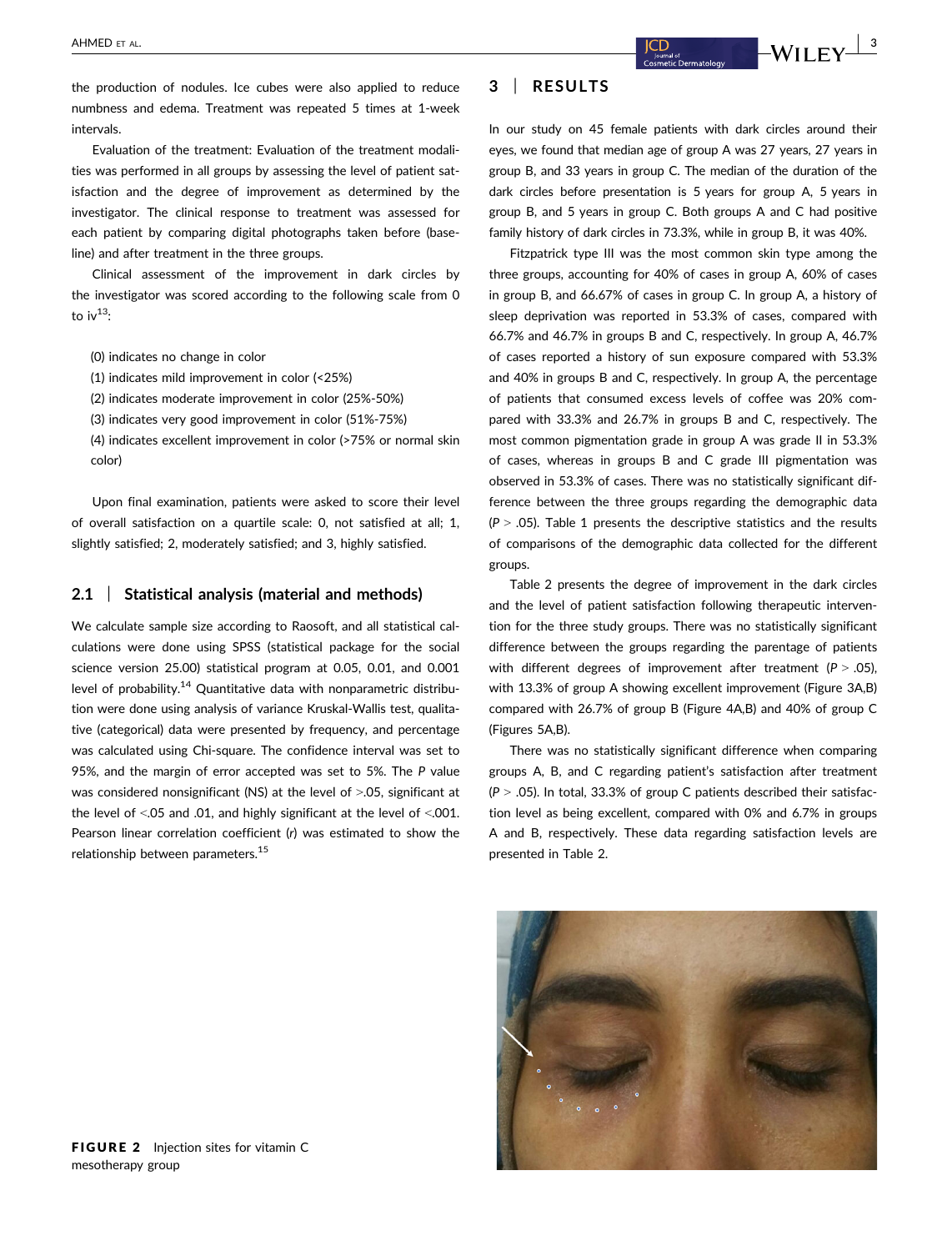the production of nodules. Ice cubes were also applied to reduce numbness and edema. Treatment was repeated 5 times at 1-week intervals.

Evaluation of the treatment: Evaluation of the treatment modalities was performed in all groups by assessing the level of patient satisfaction and the degree of improvement as determined by the investigator. The clinical response to treatment was assessed for each patient by comparing digital photographs taken before (baseline) and after treatment in the three groups.

Clinical assessment of the improvement in dark circles by the investigator was scored according to the following scale from 0 to  $iv^{13}$ :

- (0) indicates no change in color
- (1) indicates mild improvement in color (<25%)
- (2) indicates moderate improvement in color (25%-50%)

(3) indicates very good improvement in color (51%-75%)

(4) indicates excellent improvement in color (>75% or normal skin color)

Upon final examination, patients were asked to score their level of overall satisfaction on a quartile scale: 0, not satisfied at all; 1, slightly satisfied; 2, moderately satisfied; and 3, highly satisfied.

#### 2.1 | Statistical analysis (material and methods)

We calculate sample size according to Raosoft, and all statistical calculations were done using SPSS (statistical package for the social science version 25.00) statistical program at 0.05, 0.01, and 0.001 level of probability.<sup>14</sup> Quantitative data with nonparametric distribution were done using analysis of variance Kruskal-Wallis test, qualitative (categorical) data were presented by frequency, and percentage was calculated using Chi-square. The confidence interval was set to 95%, and the margin of error accepted was set to 5%. The P value was considered nonsignificant (NS) at the level of >.05, significant at the level of <.05 and .01, and highly significant at the level of <.001. Pearson linear correlation coefficient (r) was estimated to show the relationship between parameters.15

# 3 | RESULTS

In our study on 45 female patients with dark circles around their eyes, we found that median age of group A was 27 years, 27 years in group B, and 33 years in group C. The median of the duration of the dark circles before presentation is 5 years for group A, 5 years in group B, and 5 years in group C. Both groups A and C had positive family history of dark circles in 73.3%, while in group B, it was 40%.

Fitzpatrick type III was the most common skin type among the three groups, accounting for 40% of cases in group A, 60% of cases in group B, and 66.67% of cases in group C. In group A, a history of sleep deprivation was reported in 53.3% of cases, compared with 66.7% and 46.7% in groups B and C, respectively. In group A, 46.7% of cases reported a history of sun exposure compared with 53.3% and 40% in groups B and C, respectively. In group A, the percentage of patients that consumed excess levels of coffee was 20% compared with 33.3% and 26.7% in groups B and C, respectively. The most common pigmentation grade in group A was grade II in 53.3% of cases, whereas in groups B and C grade III pigmentation was observed in 53.3% of cases. There was no statistically significant difference between the three groups regarding the demographic data  $(P > .05)$ . Table 1 presents the descriptive statistics and the results of comparisons of the demographic data collected for the different groups.

Table 2 presents the degree of improvement in the dark circles and the level of patient satisfaction following therapeutic intervention for the three study groups. There was no statistically significant difference between the groups regarding the parentage of patients with different degrees of improvement after treatment ( $P > .05$ ), with 13.3% of group A showing excellent improvement (Figure 3A,B) compared with 26.7% of group B (Figure 4A,B) and 40% of group C (Figures 5A,B).

There was no statistically significant difference when comparing groups A, B, and C regarding patient's satisfaction after treatment  $(P > .05)$ . In total, 33.3% of group C patients described their satisfaction level as being excellent, compared with 0% and 6.7% in groups A and B, respectively. These data regarding satisfaction levels are presented in Table 2.

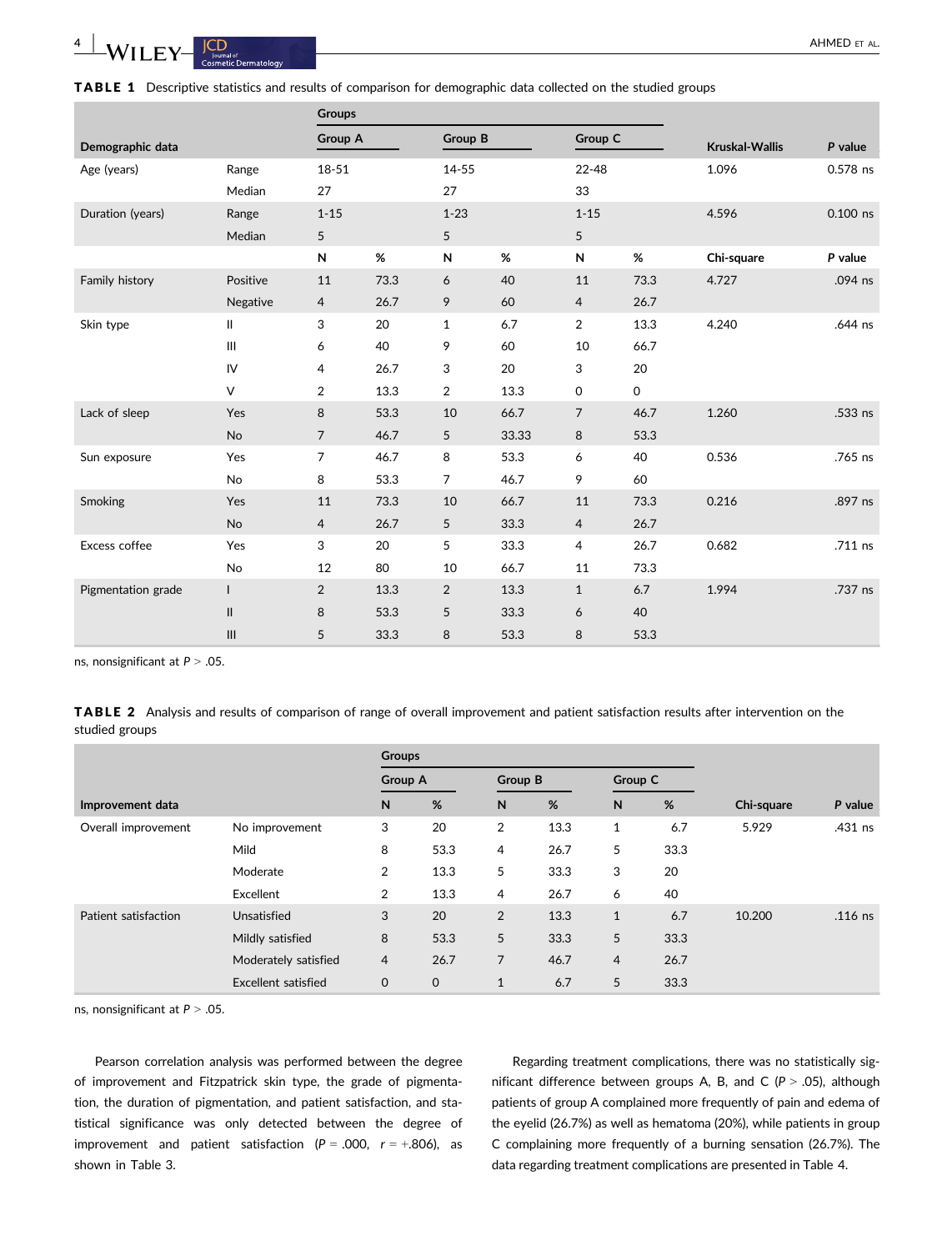TABLE 1 Descriptive statistics and results of comparison for demographic data collected on the studied groups

|                    |                                                             | <b>Groups</b>                 |                          |                               |                         |                                                  |                                           |                |            |  |
|--------------------|-------------------------------------------------------------|-------------------------------|--------------------------|-------------------------------|-------------------------|--------------------------------------------------|-------------------------------------------|----------------|------------|--|
| Demographic data   |                                                             | Group A                       |                          | Group B                       |                         | Group C                                          |                                           | Kruskal-Wallis | P value    |  |
| Age (years)        | Range<br>Median                                             | $18 - 51$<br>27               |                          | 14-55<br>27                   |                         | $22 - 48$<br>33                                  |                                           | 1.096          | 0.578 ns   |  |
| Duration (years)   | Range<br>Median                                             | $1 - 15$<br>5                 |                          | $1 - 23$<br>5                 |                         | $1 - 15$<br>5                                    |                                           | 4.596          | $0.100$ ns |  |
|                    |                                                             | N                             | $\%$                     | ${\sf N}$                     | %                       | N                                                | %                                         | Chi-square     | P value    |  |
| Family history     | Positive<br>Negative                                        | 11<br>$\overline{4}$          | 73.3<br>26.7             | 6<br>9                        | 40<br>60                | 11<br>$\overline{4}$                             | 73.3<br>26.7                              | 4.727          | .094 ns    |  |
| Skin type          | $\mathbf{I}$<br>$\mathop{\mathsf{III}}\nolimits$<br>IV<br>V | 3<br>6<br>4<br>$\overline{2}$ | 20<br>40<br>26.7<br>13.3 | 1<br>9<br>3<br>$\overline{2}$ | 6.7<br>60<br>20<br>13.3 | $\overline{2}$<br>10<br>3<br>$\mathsf{O}\xspace$ | 13.3<br>66.7<br>20<br>$\mathsf{O}\xspace$ | 4.240          | .644 ns    |  |
| Lack of sleep      | Yes<br>No                                                   | 8<br>$\overline{7}$           | 53.3<br>46.7             | 10<br>5                       | 66.7<br>33.33           | $\overline{7}$<br>8                              | 46.7<br>53.3                              | 1.260          | .533 ns    |  |
| Sun exposure       | Yes<br>No                                                   | 7<br>8                        | 46.7<br>53.3             | 8<br>7                        | 53.3<br>46.7            | 6<br>9                                           | 40<br>60                                  | 0.536          | .765 ns    |  |
| Smoking            | Yes<br>No                                                   | 11<br>$\overline{4}$          | 73.3<br>26.7             | 10<br>5                       | 66.7<br>33.3            | 11<br>$\overline{4}$                             | 73.3<br>26.7                              | 0.216          | .897 ns    |  |
| Excess coffee      | Yes<br>No                                                   | 3<br>12                       | 20<br>80                 | 5<br>10                       | 33.3<br>66.7            | $\overline{4}$<br>11                             | 26.7<br>73.3                              | 0.682          | .711 ns    |  |
| Pigmentation grade | $\mathsf{I}$<br>$\mathsf{II}$<br>III                        | $\overline{2}$<br>8<br>5      | 13.3<br>53.3<br>33.3     | $\overline{2}$<br>5<br>8      | 13.3<br>33.3<br>53.3    | $\mathbf{1}$<br>6<br>8                           | 6.7<br>40<br>53.3                         | 1.994          | .737 ns    |  |

ns, nonsignificant at  $P > .05$ .

TABLE 2 Analysis and results of comparison of range of overall improvement and patient satisfaction results after intervention on the studied groups

|                      |                            | <b>Groups</b>  |             |                |      |                |      |            |           |
|----------------------|----------------------------|----------------|-------------|----------------|------|----------------|------|------------|-----------|
|                      |                            | <b>Group A</b> |             | <b>Group B</b> |      | Group C        |      |            |           |
| Improvement data     |                            |                | %           | N              | %    | $\mathsf{N}$   | %    | Chi-square | P value   |
| Overall improvement  | No improvement             | 3              | 20          | $\overline{2}$ | 13.3 | $\mathbf{1}$   | 6.7  | 5.929      | .431 ns   |
|                      | Mild                       | 8              | 53.3        | 4              | 26.7 | 5              | 33.3 |            |           |
|                      | Moderate                   | $\overline{2}$ | 13.3        | 5              | 33.3 | 3              | 20   |            |           |
|                      | Excellent                  | 2              | 13.3        | 4              | 26.7 | 6              | 40   |            |           |
| Patient satisfaction | Unsatisfied                | 3              | 20          | $\overline{2}$ | 13.3 | $\mathbf{1}$   | 6.7  | 10.200     | $.116$ ns |
|                      | Mildly satisfied           | 8              | 53.3        | 5              | 33.3 | 5              | 33.3 |            |           |
|                      | Moderately satisfied       | $\overline{4}$ | 26.7        | 7              | 46.7 | $\overline{4}$ | 26.7 |            |           |
|                      | <b>Excellent satisfied</b> | $\mathbf{0}$   | $\mathbf 0$ | 1              | 6.7  | 5              | 33.3 |            |           |

ns, nonsignificant at  $P > .05$ .

Pearson correlation analysis was performed between the degree of improvement and Fitzpatrick skin type, the grade of pigmentation, the duration of pigmentation, and patient satisfaction, and statistical significance was only detected between the degree of improvement and patient satisfaction  $(P = .000, r = +.806)$ , as shown in Table 3.

Regarding treatment complications, there was no statistically significant difference between groups A, B, and C ( $P > .05$ ), although patients of group A complained more frequently of pain and edema of the eyelid (26.7%) as well as hematoma (20%), while patients in group C complaining more frequently of a burning sensation (26.7%). The data regarding treatment complications are presented in Table 4.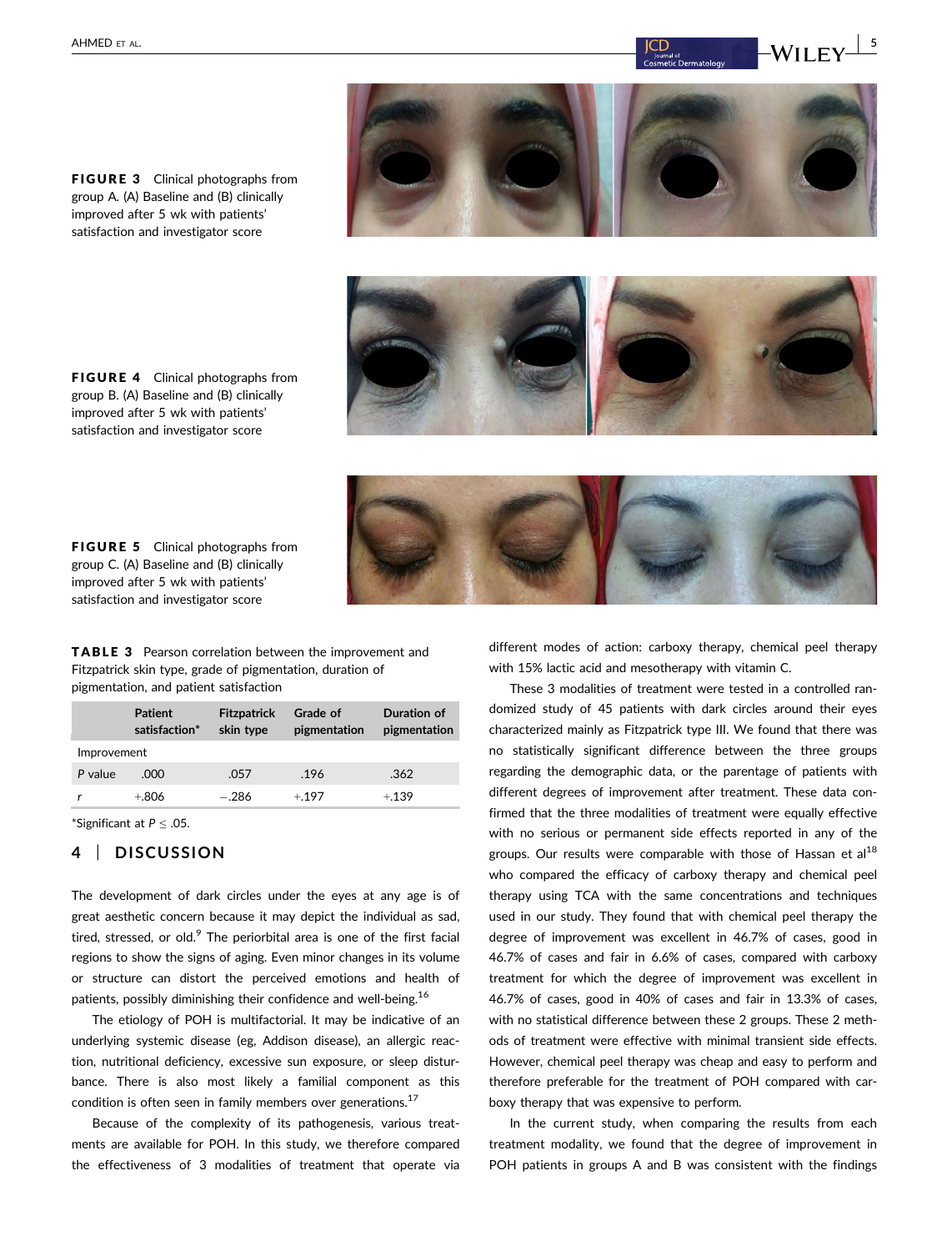FIGURE 3 Clinical photographs from group A. (A) Baseline and (B) clinically improved after 5 wk with patients' satisfaction and investigator score



FIGURE 4 Clinical photographs from group B. (A) Baseline and (B) clinically improved after 5 wk with patients' satisfaction and investigator score



TABLE 3 Pearson correlation between the improvement and Fitzpatrick skin type, grade of pigmentation, duration of

pigmentation, and patient satisfaction

FIGURE 5 Clinical photographs from group C. (A) Baseline and (B) clinically improved after 5 wk with patients' satisfaction and investigator score

|             | <b>Patient</b><br>satisfaction* | <b>Fitzpatrick</b><br>skin type | Grade of<br>pigmentation | Duration of<br>pigmentation |
|-------------|---------------------------------|---------------------------------|--------------------------|-----------------------------|
| Improvement |                                 |                                 |                          |                             |
| P value     | .റററ                            | .057                            | .196                     | .362                        |
|             | $+806$                          | $-.286$                         | $+197$                   | $+139$                      |

\*Significant at P ≤ .05.

### 4 | DISCUSSION

The development of dark circles under the eyes at any age is of great aesthetic concern because it may depict the individual as sad, tired, stressed, or old. $9$  The periorbital area is one of the first facial regions to show the signs of aging. Even minor changes in its volume or structure can distort the perceived emotions and health of patients, possibly diminishing their confidence and well-being.<sup>16</sup>

The etiology of POH is multifactorial. It may be indicative of an underlying systemic disease (eg, Addison disease), an allergic reaction, nutritional deficiency, excessive sun exposure, or sleep disturbance. There is also most likely a familial component as this condition is often seen in family members over generations.<sup>17</sup>

Because of the complexity of its pathogenesis, various treatments are available for POH. In this study, we therefore compared the effectiveness of 3 modalities of treatment that operate via different modes of action: carboxy therapy, chemical peel therapy with 15% lactic acid and mesotherapy with vitamin C.

These 3 modalities of treatment were tested in a controlled randomized study of 45 patients with dark circles around their eyes characterized mainly as Fitzpatrick type III. We found that there was no statistically significant difference between the three groups regarding the demographic data, or the parentage of patients with different degrees of improvement after treatment. These data confirmed that the three modalities of treatment were equally effective with no serious or permanent side effects reported in any of the groups. Our results were comparable with those of Hassan et al<sup>18</sup> who compared the efficacy of carboxy therapy and chemical peel therapy using TCA with the same concentrations and techniques used in our study. They found that with chemical peel therapy the degree of improvement was excellent in 46.7% of cases, good in 46.7% of cases and fair in 6.6% of cases, compared with carboxy treatment for which the degree of improvement was excellent in 46.7% of cases, good in 40% of cases and fair in 13.3% of cases, with no statistical difference between these 2 groups. These 2 methods of treatment were effective with minimal transient side effects. However, chemical peel therapy was cheap and easy to perform and therefore preferable for the treatment of POH compared with carboxy therapy that was expensive to perform.

In the current study, when comparing the results from each treatment modality, we found that the degree of improvement in POH patients in groups A and B was consistent with the findings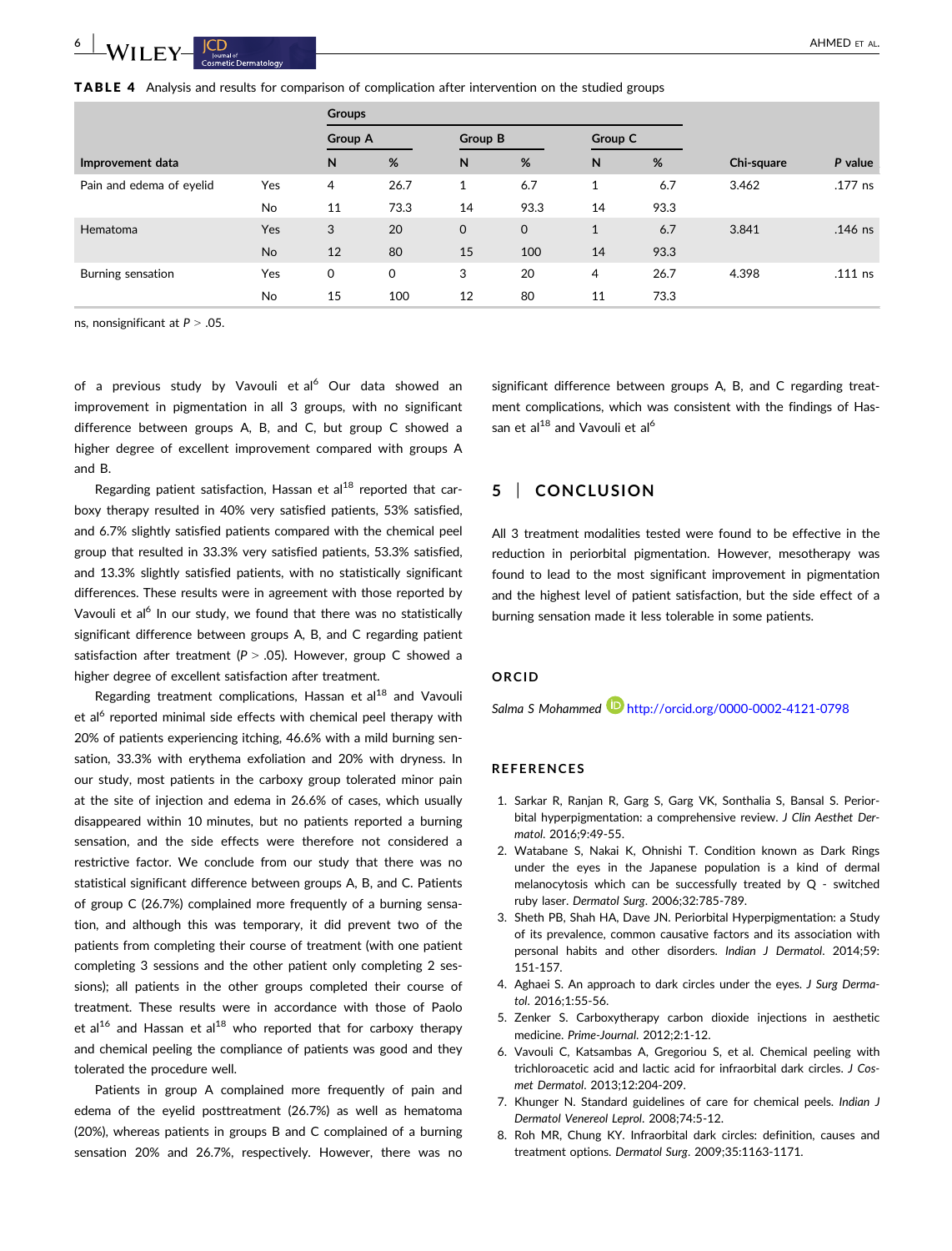|  |  |  |  | <b>TABLE 4</b> Analysis and results for comparison of complication after intervention on the studied groups |  |  |  |  |  |
|--|--|--|--|-------------------------------------------------------------------------------------------------------------|--|--|--|--|--|
|--|--|--|--|-------------------------------------------------------------------------------------------------------------|--|--|--|--|--|

|                          |     | <b>Groups</b> |             |    |             |              |            |         |           |
|--------------------------|-----|---------------|-------------|----|-------------|--------------|------------|---------|-----------|
|                          |     |               | Group A     |    | Group B     |              | Group C    |         |           |
| Improvement data         | N   | %             | N           | %  | N           | %            | Chi-square | P value |           |
| Pain and edema of eyelid | Yes | 4             | 26.7        | 1  | 6.7         | $\mathbf{1}$ | 6.7        | 3.462   | .177 ns   |
|                          | No  | 11            | 73.3        | 14 | 93.3        | 14           | 93.3       |         |           |
| Hematoma                 | Yes | 3             | 20          | 0  | $\mathbf 0$ | $\mathbf{1}$ | 6.7        | 3.841   | $.146$ ns |
|                          | No  | 12            | 80          | 15 | 100         | 14           | 93.3       |         |           |
| Burning sensation        | Yes | 0             | $\mathbf 0$ | 3  | 20          | 4            | 26.7       | 4.398   | $.111$ ns |
|                          | No  | 15            | 100         | 12 | 80          | 11           | 73.3       |         |           |

ns, nonsignificant at  $P > .05$ .

of a previous study by Vavouli et al<sup>6</sup> Our data showed an improvement in pigmentation in all 3 groups, with no significant difference between groups A, B, and C, but group C showed a higher degree of excellent improvement compared with groups A and B.

Regarding patient satisfaction, Hassan et  $al^{18}$  reported that carboxy therapy resulted in 40% very satisfied patients, 53% satisfied, and 6.7% slightly satisfied patients compared with the chemical peel group that resulted in 33.3% very satisfied patients, 53.3% satisfied, and 13.3% slightly satisfied patients, with no statistically significant differences. These results were in agreement with those reported by Vavouli et al<sup>6</sup> In our study, we found that there was no statistically significant difference between groups A, B, and C regarding patient satisfaction after treatment ( $P > .05$ ). However, group C showed a higher degree of excellent satisfaction after treatment.

Regarding treatment complications, Hassan et al<sup>18</sup> and Vavouli et al<sup>6</sup> reported minimal side effects with chemical peel therapy with 20% of patients experiencing itching, 46.6% with a mild burning sensation, 33.3% with erythema exfoliation and 20% with dryness. In our study, most patients in the carboxy group tolerated minor pain at the site of injection and edema in 26.6% of cases, which usually disappeared within 10 minutes, but no patients reported a burning sensation, and the side effects were therefore not considered a restrictive factor. We conclude from our study that there was no statistical significant difference between groups A, B, and C. Patients of group C (26.7%) complained more frequently of a burning sensation, and although this was temporary, it did prevent two of the patients from completing their course of treatment (with one patient completing 3 sessions and the other patient only completing 2 sessions); all patients in the other groups completed their course of treatment. These results were in accordance with those of Paolo et al<sup>16</sup> and Hassan et al<sup>18</sup> who reported that for carboxy therapy and chemical peeling the compliance of patients was good and they tolerated the procedure well.

Patients in group A complained more frequently of pain and edema of the eyelid posttreatment (26.7%) as well as hematoma (20%), whereas patients in groups B and C complained of a burning sensation 20% and 26.7%, respectively. However, there was no significant difference between groups A, B, and C regarding treatment complications, which was consistent with the findings of Hassan et al<sup>18</sup> and Vavouli et al<sup>6</sup>

## 5 | CONCLUSION

All 3 treatment modalities tested were found to be effective in the reduction in periorbital pigmentation. However, mesotherapy was found to lead to the most significant improvement in pigmentation and the highest level of patient satisfaction, but the side effect of a burning sensation made it less tolerable in some patients.

#### ORCID

Salma S Mohammed **D** http://orcid.org/0000-0002-4121-0798

#### **REFERENCES**

- 1. Sarkar R, Ranjan R, Garg S, Garg VK, Sonthalia S, Bansal S. Periorbital hyperpigmentation: a comprehensive review. J Clin Aesthet Dermatol. 2016;9:49-55.
- 2. Watabane S, Nakai K, Ohnishi T. Condition known as Dark Rings under the eyes in the Japanese population is a kind of dermal melanocytosis which can be successfully treated by Q - switched ruby laser. Dermatol Surg. 2006;32:785-789.
- 3. Sheth PB, Shah HA, Dave JN. Periorbital Hyperpigmentation: a Study of its prevalence, common causative factors and its association with personal habits and other disorders. Indian J Dermatol. 2014;59: 151-157.
- 4. Aghaei S. An approach to dark circles under the eyes. J Surg Dermatol. 2016;1:55-56.
- 5. Zenker S. Carboxytherapy carbon dioxide injections in aesthetic medicine. Prime-Journal. 2012;2:1-12.
- 6. Vavouli C, Katsambas A, Gregoriou S, et al. Chemical peeling with trichloroacetic acid and lactic acid for infraorbital dark circles. J Cosmet Dermatol. 2013;12:204-209.
- 7. Khunger N. Standard guidelines of care for chemical peels. Indian J Dermatol Venereol Leprol. 2008;74:5-12.
- 8. Roh MR, Chung KY. Infraorbital dark circles: definition, causes and treatment options. Dermatol Surg. 2009;35:1163-1171.